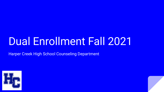# Dual Enrollment Fall 2021

Harper Creek High School Counseling Department

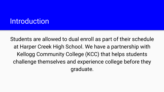# **Introduction**

Students are allowed to dual enroll as part of their schedule at Harper Creek High School. We have a partnership with Kellogg Community College (KCC) that helps students challenge themselves and experience college before they graduate.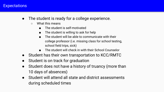### **Expectations**

- The student is ready for a college experience.
	- What this means
		- The student is self-motivated
		- The student is willing to ask for help
		- The student will be able to communicate with their college professor (i.e. missing class for school testing, school field trips, sick)
		- The student will check in with their School Counselor
- Student has their own transportation to KCC/RMTC
- Student is on track for graduation
- Student does not have a history of truancy (more than 10 days of absences)
- Student will attend all state and district assessments during scheduled times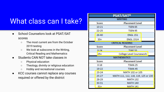# What class can I take?

- School Counselors look at PSAT/SAT scores
	- The most current are from the October 2019 testing
	- We look at subscores in the Writing, Critical Reading and Mathematics
- Students CAN NOT take classes in
	- Physical education
	- Theology, divinity or religious education
	- Hobby and recreational courses
- KCC courses cannot replace any courses required or offered by the district

|           | <b>PSAT/SAT®</b>                    |  |
|-----------|-------------------------------------|--|
|           | <b>WRITING</b>                      |  |
| Score     | <b>Placement Level</b>              |  |
| $10 - 21$ | TSEN <sub>65</sub>                  |  |
| $22 - 25$ | TSEN <sub>95</sub>                  |  |
| $26 - 40$ | <b>ENGL 151</b>                     |  |
| $33+$     | <b>ENGL 151H</b>                    |  |
|           | <b>CRITICAL READING</b>             |  |
| Score     | <b>Placement Level</b>              |  |
| $0 - 24$  | <b>TSRF 55</b>                      |  |
| $25+$     | College Level Coursework            |  |
|           | <b>MATHEMATICS</b>                  |  |
| Score     | <b>Placement Level</b>              |  |
| $0 - 18$  | TSMA <sub>25</sub>                  |  |
| $19 - 22$ | TSMA 45                             |  |
| $23 - 24$ | MATH 102 or 105                     |  |
| $25 - 27$ | MATH 111, 112, 118, 119, 125 or 130 |  |
| $28 - 29$ | <b>MATH 132</b>                     |  |
| $30 - 31$ | <b>MATH 140</b>                     |  |
| $31+$     | <b>MATH 141</b>                     |  |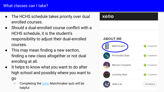### What classes can I take?

- The HCHS schedule takes priority over dual enrolled courses.
- Should a dual-enrolled course conflict with a HCHS schedule, it is the student's responsibility to adjust their dual-enrolled courses.
- This may mean finding a new section, finding a new class altogether or not dual enrolling at all.
- It helps to know what you want to do after high school and possibly where you want to

go

○ Completing the [Xello](https://docs.google.com/document/d/1ULOWEo-XMGllPw-s3k4zE7xaH6RmcJi6sNMWluXsc-4/edit?usp=sharing) Matchmaker quiz will be helpful

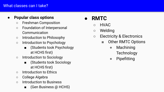## What classes can I take?

# **● Popular class options**

- Freshman Composition
- Foundation of Interpersonal Communication
- Introduction to Philosophy
- Introduction to Psychology
	- (Students took Psychology at HCHS first)
- Introduction to Sociology
	- (Students took Sociology at HCHS first)
- Introduction to Ethics
- College Algebra
- Introduction to Business
	- (Gen Business @ HCHS)

# **● RMTC**

- HVAC
- Welding
- Electricity & Electronics
	- Other RMTC Options
		- Machining **Technology**
		- Pipefitting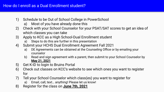### How do I enroll as a Dual Enrollment student?

- 1) Schedule to be Out of School College in PowerSchool
	- a) Most of you have already done this
- 2) Check with your School Counselor for your PSAT/SAT scores to get an idea of which classes you can take
- 3) Apply to KCC as a High School-Dual Enrollment student
	- a) Steps to do this are further in this presentation
- 4) Submit your HCHS Dual Enrollment Agreement Fall 2021
	- a) DE Agreements can be obtained at the Counseling Office or by emailing your counselor
	- b) Read and sign agreement with a parent, then submit to your School Counselor by **May 21, 2021**
- 5) Get K-ID to login to Bruins Portal
- 6) Check out classes on KCC's website to see which ones you want to register for
- 7) Tell your School Counselor which class(es) you want to register for
	- a) Email, call, text… anything! Please let us know!
- 8) Register for the class on **June 7th, 2021**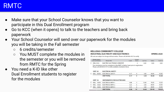# RMTC

- Make sure that your School Counselor knows that you want to participate in this Dual Enrollment program
- Go to KCC (when it opens) to talk to the teachers and bring back paperwork
- Your School Counselor will send over our paperwork for the modules you will be taking in the Fall semester
	- 6 credits/semester
	- You MUST complete the modules in the semester or you will be removed from RMTC for the Spring
- You need a K-ID like other Dual Enrollment students to register for the modules

#### **KELLOGG COMMUNITY COLLEGE INDUSTRIAL ELECTRICITY AND ELECTRONICS**

**SPRING 2020** 

All costs are subject to change without notice. Please call 269-965-4137 to verify.

|   | <b>Module Subject</b><br><b>Code and Number</b> | Module Title                                                                                                                                            | Credit | Contact<br><b>Hours</b> | <b>Lab Fees</b> | <b>Tultion</b> | <b>Total Cos</b> |
|---|-------------------------------------------------|---------------------------------------------------------------------------------------------------------------------------------------------------------|--------|-------------------------|-----------------|----------------|------------------|
| п | <b>INEL C910</b>                                | ELECTRIC ELECTRONICS ORIENTAT                                                                                                                           |        | $\overline{2}$          | 0.00            | 0.00           | 0.00             |
|   |                                                 | The orientation must be completed at the RMTC in Battle Creek prior to registration.<br>Please call 269.965.4137 to verify available orientation times. |        |                         |                 |                |                  |
|   | <b>UNIT 05</b>                                  | <b>ELECTRICAL SAFETY</b>                                                                                                                                |        |                         |                 |                |                  |
| п | <b>INEL 05010</b>                               | <b>ELECTRICAL SAFETY</b>                                                                                                                                | 0.17   | 4                       | 3.00            | 40.80          | 43.80            |
|   |                                                 | <b>UNIT TOTAL</b>                                                                                                                                       | 0.17   | 4                       | 3.00            | 40.80          | 43.80            |
|   | <b>UNIT 10</b>                                  | <b>MATHEMATICS FOR ELECTRICIANS</b>                                                                                                                     |        |                         |                 |                |                  |
| П | <b>INEL</b><br>10010                            | <b>ELECTRICAL MATH 1</b>                                                                                                                                | 0.08   | $\overline{2}$          | 13.00           | 19.20          | 32.20            |
|   | <b>INEL</b><br>10020                            | <b>ELECTRICAL MATH 2</b>                                                                                                                                | 0.25   | 6                       | 3.00            | 60.00          | 63.00            |
| П | <b>INEL</b><br>10030                            | <b>ELECTRICAL MATH 3</b>                                                                                                                                | 0.25   | 6                       | 3.00            | 60.00          | 63.00            |
|   |                                                 | <b>UNIT TOTAL</b>                                                                                                                                       | 0.58   | 14                      | 19.00           | 139.20         | 158.20           |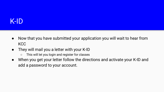# K-ID

- Now that you have submitted your application you will wait to hear from KCC
- They will mail you a letter with your K-ID
	- This will let you login and register for classes
- When you get your letter follow the directions and activate your K-ID and add a password to your account.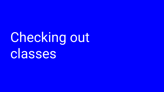# Checking out classes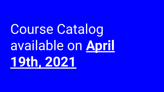Course Catalog available on **April 19th, 2021**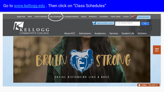## Go to [www.kellogg.edu](http://www.kellogg.edu) . Then click on "Class Schedules"

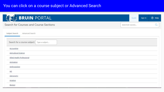# You can click on a course subject or Advanced Search

| <b>BRUIN</b> PORTAL                                          | Guest | Sign in | <b>2</b> Help |
|--------------------------------------------------------------|-------|---------|---------------|
| Search for Courses and Course Sections<br>Search for courses |       |         |               |
| Advanced Search<br>Subject Search                            |       |         |               |
| Search for a course subject:<br>Type a subject               |       |         |               |
| <b>Accounting</b>                                            |       |         |               |
| <b>Agricultural Science</b>                                  |       |         |               |
| Allied Health Professional                                   |       |         |               |
| Animation                                                    |       |         |               |
| Anthropology.                                                |       |         |               |
| Art                                                          |       |         |               |
| <b>Astronomy</b>                                             |       |         |               |
| Aviation                                                     |       |         |               |
| Biology.                                                     |       |         |               |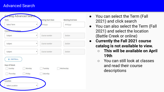## Advanced Search



- You can select the Term (Fall 2021) and click search
- You can also select the Term (Fall 2021) and select the location (Battle Creek or online)
- **● Currently the Fall 2021 course catalog is not available to view.** 
	- **○ This will be available on April 19th**
	- You can still look at classes and read their course descriptions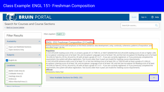# Class Example: ENGL 151- Freshman Composition

| <b>BRUIN PORTAL</b>                                                                                        |                          |                                                                                                                                                                                                                                                                                                                                                                                                                                                         |                    | Guest | Sign in | 7 Help |
|------------------------------------------------------------------------------------------------------------|--------------------------|---------------------------------------------------------------------------------------------------------------------------------------------------------------------------------------------------------------------------------------------------------------------------------------------------------------------------------------------------------------------------------------------------------------------------------------------------------|--------------------|-------|---------|--------|
| Search for Courses and Course Sections<br>< Back to Course Catalog                                         |                          |                                                                                                                                                                                                                                                                                                                                                                                                                                                         | Search for courses |       |         |        |
| <b>Filter Results</b>                                                                                      |                          | Filters Applied: $($ English $\times$                                                                                                                                                                                                                                                                                                                                                                                                                   |                    |       |         |        |
| Availability                                                                                               | $\overline{\phantom{a}}$ | <b>ENGL-151 Freshman Composition (3 Credits)</b>                                                                                                                                                                                                                                                                                                                                                                                                        |                    |       |         |        |
| Open and Waitlisted Sections<br>Open Sections Only                                                         |                          | Writing expository prose with emphasis on the thesis sentence, idea development, unity, continuity, coherence, patterns of exposition, and<br>educated usage. Lab fee.<br><b>Requisites:</b>                                                                                                                                                                                                                                                            |                    |       |         |        |
| <b>Subjects</b>                                                                                            | $\wedge$                 | (1) ACCUPLACER reading score of 60, or at least a grade of C in TSRE-55, or NEXT GENERATION ACCUPLACER reading score of 244 or higher. (OR)<br>(2) Accuplacer Listening score of at least 106, and Accuplacer Language score of at least 106, and Nxt Gen Accuplacer Esl Reading score of at least<br>106 (OR) (3) Take ELL-93 ELL-94 and ELL-95 with at least a grade of C or P. - If you are currently registered, or if you previously completed the |                    |       |         |        |
| $\triangledown$ English (6)                                                                                |                          | requirement, the system will allow registration. Test Scores older than 5-years are invalid for meeting course requirements.<br>(1) ACCUPLACER sentence skills score of at least 75, or Nxt Gen Writing score of at least 250, or TSEN-95 with at least a grade of C (OR) (2)                                                                                                                                                                           |                    |       |         |        |
| Locations                                                                                                  | $\sim$                   | Accuplacer Listening score of at least 106, and Accuplacer Language score of at least 106, and Nxt Gen Accuplacer Esl Reading score of at least<br>106 (OR) (3) Take ELL-93 ELL-94 and ELL-95 with at least a grade of C or P. - If you are currently registered, or if you previously completed the<br>requirement, the system will allow registration. Test Scores older than 5-years are invalid for meeting course requirements.                    |                    |       |         |        |
| Battle Creek Area (3)<br>Coldwater Area (2)<br>Hastings Area (2)<br>Online (2)<br>Albion-Marshall Area (1) |                          | Offered:<br>All Sessions, Every Year<br><b>View Available Sections for ENGL-151</b>                                                                                                                                                                                                                                                                                                                                                                     |                    |       |         |        |
| Chau All Tarme                                                                                             |                          |                                                                                                                                                                                                                                                                                                                                                                                                                                                         |                    |       |         |        |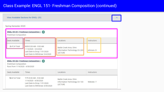# Class Example: ENGL 151- Freshman Composition (continued)

|                                                                            | <b>View Available Sections for ENGL-151</b>                                                                         |                                                                            |             |  |
|----------------------------------------------------------------------------|---------------------------------------------------------------------------------------------------------------------|----------------------------------------------------------------------------|-------------|--|
| Spring Semester 2020                                                       |                                                                                                                     |                                                                            |             |  |
| Freshman Composition                                                       | ENGL-151-01 (Freshman Composition ) (+\$)                                                                           |                                                                            |             |  |
| Seats Available                                                            | Times                                                                                                               | Locations                                                                  | Instructors |  |
| 2 of 24 Total                                                              | M/W 8:30 AM - 9:50 AM<br>1/13/2020 - 5/4/2020<br>Last Date to Drop: 1/31/2020<br>Last Date to Withdraw: 5/4/2020    | Battle Creek Area, Ohm<br>Information Technology Ctr 203<br><b>LECTURE</b> | Johnson, D  |  |
| Freshman Composition<br>Runs from 1/14/2020 - 4/30/2020<br>Seats Available | ENGL-151-02 (Freshman Composition )<br>Times                                                                        | Locations                                                                  | Instructors |  |
| 14 of 24 Total                                                             | T/Th 8:30 AM - 9:50 AM<br>1/14/2020 - 4/30/2020<br>Last Date to Drop: 1/31/2020<br>Last Date to Withdraw: 4/30/2020 | Battle Creek Area, Ohm<br>Information Technology Ctr 103<br><b>LECTURE</b> | Webster, T  |  |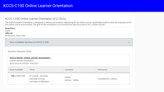### KCCS-C100 Online Learner Orientation

#### KCCS-C100 Online Learner Orientation (0.2 CEUs)

The Online Student Orientation is designed to address all students registering for an online course, specifically students who are unprepared for<br>the online course environment. The goal of the orientation is to increase th

| Requisites:<br><b>None</b><br>Offered:<br>All Sessions, Every Year |                                                                      |                            |                         |          |
|--------------------------------------------------------------------|----------------------------------------------------------------------|----------------------------|-------------------------|----------|
|                                                                    | View Available Sections for KCCS-C100                                |                            |                         | $\wedge$ |
| Summer Semester 2020                                               |                                                                      |                            |                         |          |
| Online Learner Orientation<br>Runs from 4/13/2020 - 5/6/2020       | KCCS-C100-90 (Online Learner Orientation)                            |                            |                         |          |
| Seats Available                                                    | <b>Times</b>                                                         | Locations                  | Instructors             |          |
| <b>798 of 999 Total</b>                                            | 4/13/2020 - 5/6/2020<br>Last Date to Drop:<br>Last Date to Withdraw: | Online<br>Lecture - Online | Houldsworth, J, Reed, J |          |